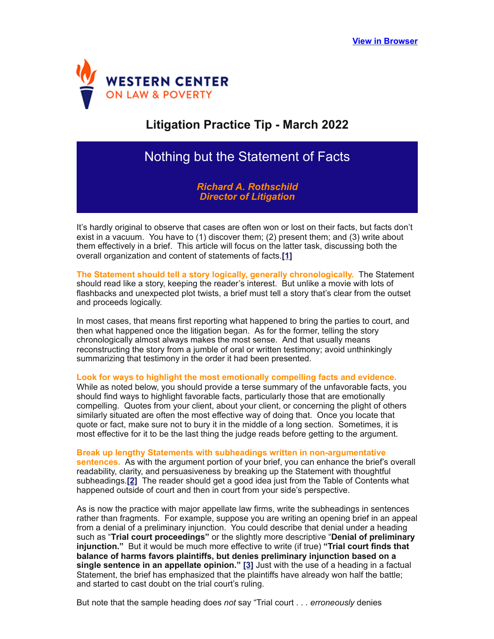

## **Litigation Practice Tip - March 2022**

## Nothing but the Statement of Facts

<span id="page-0-0"></span>*Richard A. Rothschild Director of Litigation*

It's hardly original to observe that cases are often won or lost on their facts, but facts don't exist in a vacuum. You have to (1) discover them; (2) present them; and (3) write about them effectively in a brief. This article will focus on the latter task, discussing both the overall organization and content of statements of facts.**[\[1\]](#page-1-0)**

**The Statement should tell a story logically, generally chronologically.** The Statement should read like a story, keeping the reader's interest. But unlike a movie with lots of flashbacks and unexpected plot twists, a brief must tell a story that's clear from the outset and proceeds logically.

In most cases, that means first reporting what happened to bring the parties to court, and then what happened once the litigation began. As for the former, telling the story chronologically almost always makes the most sense. And that usually means reconstructing the story from a jumble of oral or written testimony; avoid unthinkingly summarizing that testimony in the order it had been presented.

**Look for ways to highlight the most emotionally compelling facts and evidence.**

While as noted below, you should provide a terse summary of the unfavorable facts, you should find ways to highlight favorable facts, particularly those that are emotionally compelling. Quotes from your client, about your client, or concerning the plight of others similarly situated are often the most effective way of doing that. Once you locate that quote or fact, make sure not to bury it in the middle of a long section. Sometimes, it is most effective for it to be the last thing the judge reads before getting to the argument.

<span id="page-0-1"></span>**Break up lengthy Statements with subheadings written in non-argumentative sentences.** As with the argument portion of your brief, you can enhance the brief's overall readability, clarity, and persuasiveness by breaking up the Statement with thoughtful subheadings.**[\[2\]](#page-1-1)** The reader should get a good idea just from the Table of Contents what happened outside of court and then in court from your side's perspective.

As is now the practice with major appellate law firms, write the subheadings in sentences rather than fragments. For example, suppose you are writing an opening brief in an appeal from a denial of a preliminary injunction. You could describe that denial under a heading such as "**Trial court proceedings"** or the slightly more descriptive "**Denial of preliminary injunction."** But it would be much more effective to write (if true) **"Trial court finds that balance of harms favors plaintiffs, but denies preliminary injunction based on a single sentence in an appellate opinion." [\[3\]](#page-1-2)** Just with the use of a heading in a factual Statement, the brief has emphasized that the plaintiffs have already won half the battle; and started to cast doubt on the trial court's ruling.

<span id="page-0-2"></span>But note that the sample heading does *not* say "Trial court . . . *erroneously* denies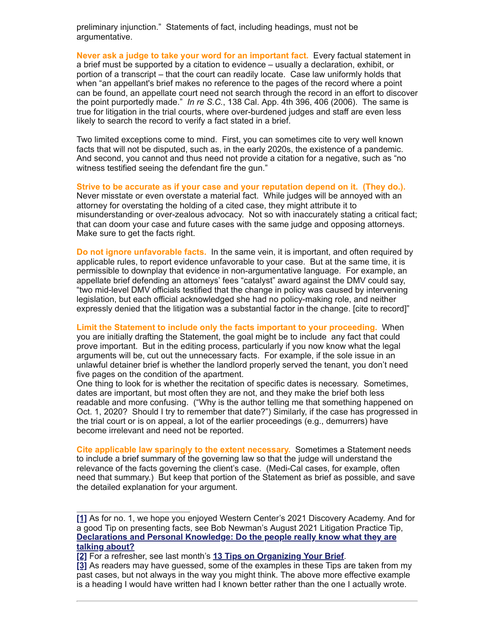preliminary injunction." Statements of fact, including headings, must not be argumentative.

**Never ask a judge to take your word for an important fact.** Every factual statement in a brief must be supported by a citation to evidence – usually a declaration, exhibit, or portion of a transcript – that the court can readily locate. Case law uniformly holds that when "an appellant's brief makes no reference to the pages of the record where a point can be found, an appellate court need not search through the record in an effort to discover the point purportedly made." *In re S.C.*, 138 Cal. App. 4th 396, 406 (2006). The same is true for litigation in the trial courts, where over-burdened judges and staff are even less likely to search the record to verify a fact stated in a brief.

Two limited exceptions come to mind. First, you can sometimes cite to very well known facts that will not be disputed, such as, in the early 2020s, the existence of a pandemic. And second, you cannot and thus need not provide a citation for a negative, such as "no witness testified seeing the defendant fire the gun."

**Strive to be accurate as if your case and your reputation depend on it. (They do.).**

Never misstate or even overstate a material fact. While judges will be annoyed with an attorney for overstating the holding of a cited case, they might attribute it to misunderstanding or over-zealous advocacy. Not so with inaccurately stating a critical fact; that can doom your case and future cases with the same judge and opposing attorneys. Make sure to get the facts right.

**Do not ignore unfavorable facts.** In the same vein, it is important, and often required by applicable rules, to report evidence unfavorable to your case. But at the same time, it is permissible to downplay that evidence in non-argumentative language. For example, an appellate brief defending an attorneys' fees "catalyst" award against the DMV could say, "two mid-level DMV officials testified that the change in policy was caused by intervening legislation, but each official acknowledged she had no policy-making role, and neither expressly denied that the litigation was a substantial factor in the change. [cite to record]"

**Limit the Statement to include only the facts important to your proceeding.** When you are initially drafting the Statement, the goal might be to include any fact that could prove important. But in the editing process, particularly if you now know what the legal arguments will be, cut out the unnecessary facts. For example, if the sole issue in an unlawful detainer brief is whether the landlord properly served the tenant, you don't need five pages on the condition of the apartment.

One thing to look for is whether the recitation of specific dates is necessary. Sometimes, dates are important, but most often they are not, and they make the brief both less readable and more confusing. ("Why is the author telling me that something happened on Oct. 1, 2020? Should I try to remember that date?") Similarly, if the case has progressed in the trial court or is on appeal, a lot of the earlier proceedings (e.g., demurrers) have become irrelevant and need not be reported.

**Cite applicable law sparingly to the extent necessary.** Sometimes a Statement needs to include a brief summary of the governing law so that the judge will understand the relevance of the facts governing the client's case. (Medi-Cal cases, for example, often need that summary.) But keep that portion of the Statement as brief as possible, and save the detailed explanation for your argument.

<span id="page-1-0"></span>**[<sup>\[1\]</sup>](#page-0-0)** As for no. 1, we hope you enjoyed Western Center's 2021 Discovery Academy. And for a good Tip on presenting facts, see Bob Newman's August 2021 Litigation Practice Tip, **[Declarations and Personal Knowledge: Do the people really know what they are](https://wclp.org/wp-content/uploads/2021/08/Litigation-Practice-Tip-August-2021.pdf) talking about?**

<span id="page-1-1"></span>**[<sup>\[2\]</sup>](#page-0-1)** For a refresher, see last month's **[13 Tips on Organizing Your Brief](https://wclp.org/wp-content/uploads/2022/02/Litigation-Practice-Tip-February-2022.pdf)**.

<span id="page-1-2"></span>**[<sup>\[3\]</sup>](#page-0-2)** As readers may have guessed, some of the examples in these Tips are taken from my past cases, but not always in the way you might think. The above more effective example is a heading I would have written had I known better rather than the one I actually wrote.